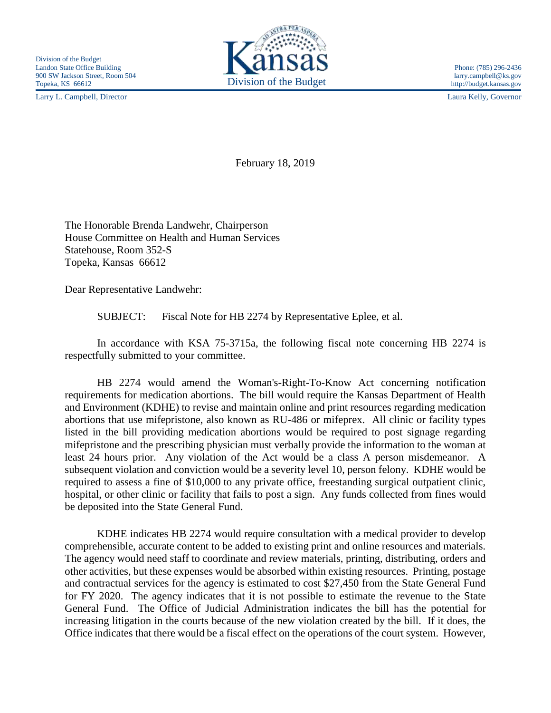Larry L. Campbell, Director Laura Kelly, Governor



February 18, 2019

The Honorable Brenda Landwehr, Chairperson House Committee on Health and Human Services Statehouse, Room 352-S Topeka, Kansas 66612

Dear Representative Landwehr:

SUBJECT: Fiscal Note for HB 2274 by Representative Eplee, et al.

In accordance with KSA 75-3715a, the following fiscal note concerning HB 2274 is respectfully submitted to your committee.

HB 2274 would amend the Woman's-Right-To-Know Act concerning notification requirements for medication abortions. The bill would require the Kansas Department of Health and Environment (KDHE) to revise and maintain online and print resources regarding medication abortions that use mifepristone, also known as RU-486 or mifeprex. All clinic or facility types listed in the bill providing medication abortions would be required to post signage regarding mifepristone and the prescribing physician must verbally provide the information to the woman at least 24 hours prior. Any violation of the Act would be a class A person misdemeanor. A subsequent violation and conviction would be a severity level 10, person felony. KDHE would be required to assess a fine of \$10,000 to any private office, freestanding surgical outpatient clinic, hospital, or other clinic or facility that fails to post a sign. Any funds collected from fines would be deposited into the State General Fund.

KDHE indicates HB 2274 would require consultation with a medical provider to develop comprehensible, accurate content to be added to existing print and online resources and materials. The agency would need staff to coordinate and review materials, printing, distributing, orders and other activities, but these expenses would be absorbed within existing resources. Printing, postage and contractual services for the agency is estimated to cost \$27,450 from the State General Fund for FY 2020. The agency indicates that it is not possible to estimate the revenue to the State General Fund. The Office of Judicial Administration indicates the bill has the potential for increasing litigation in the courts because of the new violation created by the bill. If it does, the Office indicates that there would be a fiscal effect on the operations of the court system. However,